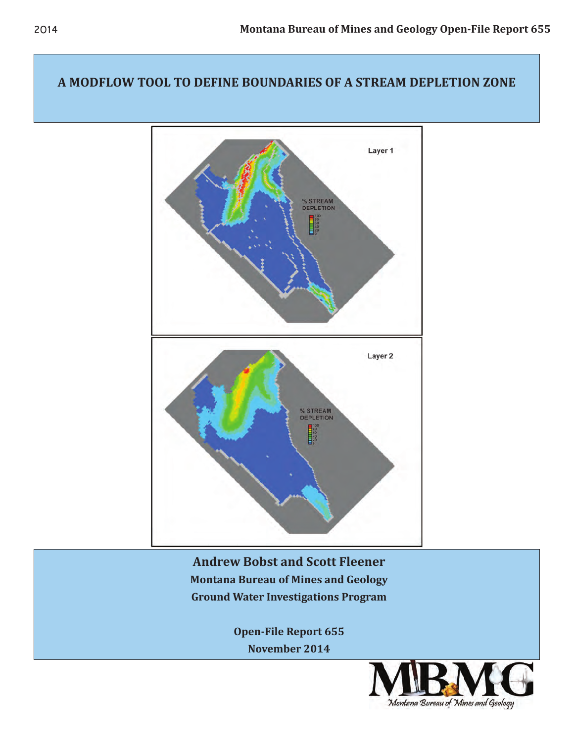## **A MODFLOW TOOL TO DEFINE BOUNDARIES OF A STREAM DEPLETION ZONE**



**Andrew Bobst and Scott Fleener Montana Bureau of Mines and Geology Ground Water Investigations Program** 

> **Open-File Report 655 November 2014**

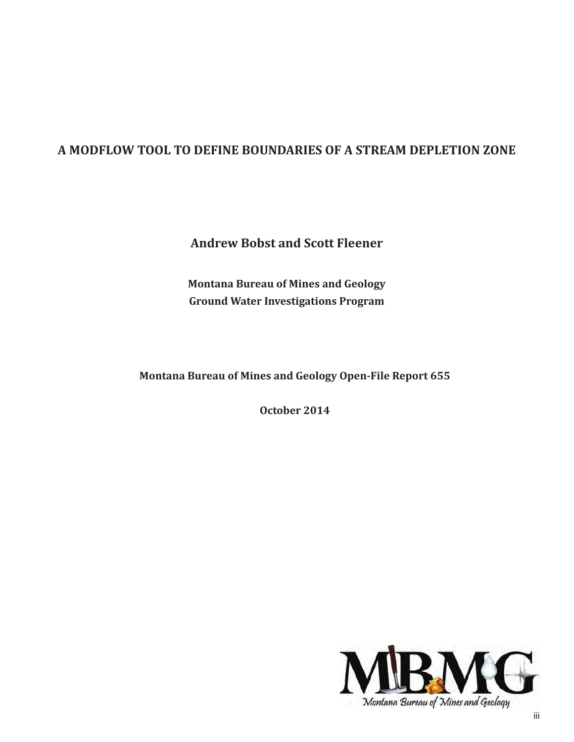# **A MODFLOW TOOL TO DEFINE BOUNDARIES OF A STREAM DEPLETION ZONE**

**Andrew Bobst and Scott Fleener**

**Montana Bureau of Mines and Geology Ground Water Investigations Program**

**Montana Bureau of Mines and Geology Open-File Report 655**

**October 2014**

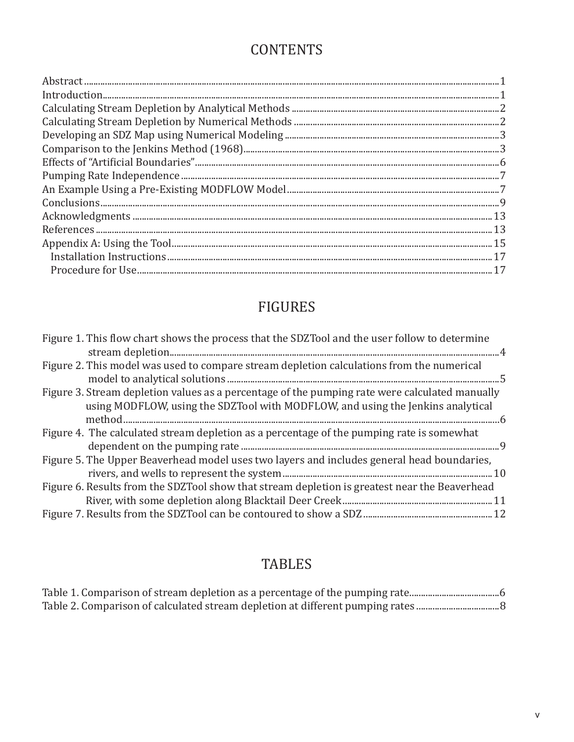# **CONTENTS**

# FIGURES

| Figure 1. This flow chart shows the process that the SDZTool and the user follow to determine                                                                                     |
|-----------------------------------------------------------------------------------------------------------------------------------------------------------------------------------|
| Figure 2. This model was used to compare stream depletion calculations from the numerical                                                                                         |
| Figure 3. Stream depletion values as a percentage of the pumping rate were calculated manually<br>using MODFLOW, using the SDZTool with MODFLOW, and using the Jenkins analytical |
| Figure 4. The calculated stream depletion as a percentage of the pumping rate is somewhat                                                                                         |
|                                                                                                                                                                                   |
| Figure 5. The Upper Beaverhead model uses two layers and includes general head boundaries,                                                                                        |
| Figure 6. Results from the SDZTool show that stream depletion is greatest near the Beaverhead                                                                                     |
|                                                                                                                                                                                   |

# TABLES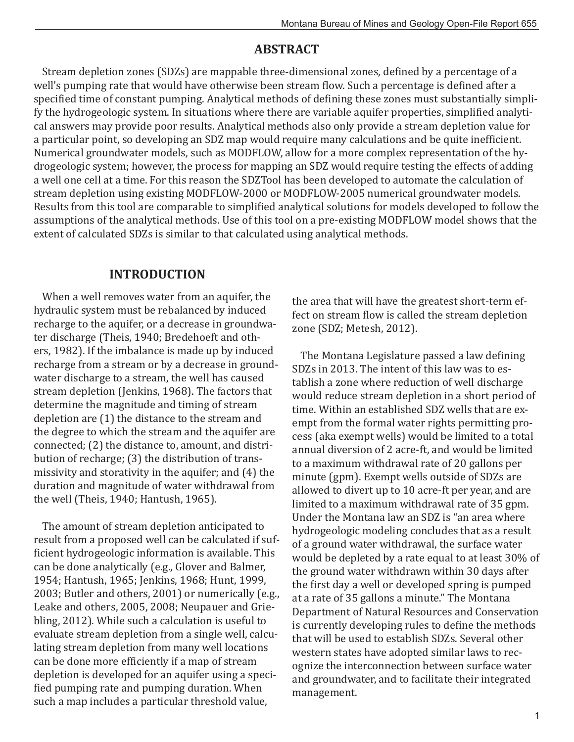# **ABSTRACT**

Stream depletion zones (SDZs) are mappable three-dimensional zones, defined by a percentage of a well's pumping rate that would have otherwise been stream flow. Such a percentage is defined after a specified time of constant pumping. Analytical methods of defining these zones must substantially simplify the hydrogeologic system. In situations where there are variable aquifer properties, simplified analytical answers may provide poor results. Analytical methods also only provide a stream depletion value for a particular point, so developing an SDZ map would require many calculations and be quite inefficient. Numerical groundwater models, such as MODFLOW, allow for a more complex representation of the hydrogeologic system; however, the process for mapping an SDZ would require testing the effects of adding a well one cell at a time. For this reason the SDZTool has been developed to automate the calculation of stream depletion using existing MODFLOW-2000 or MODFLOW-2005 numerical groundwater models. Results from this tool are comparable to simplified analytical solutions for models developed to follow the assumptions of the analytical methods. Use of this tool on a pre-existing MODFLOW model shows that the extent of calculated SDZs is similar to that calculated using analytical methods.

# **INTRODUCTION**

When a well removes water from an aquifer, the hydraulic system must be rebalanced by induced recharge to the aquifer, or a decrease in groundwater discharge (Theis, 1940; Bredehoeft and others, 1982). If the imbalance is made up by induced recharge from a stream or by a decrease in groundwater discharge to a stream, the well has caused stream depletion (Jenkins, 1968). The factors that determine the magnitude and timing of stream depletion are (1) the distance to the stream and the degree to which the stream and the aquifer are connected; (2) the distance to, amount, and distribution of recharge; (3) the distribution of transmissivity and storativity in the aquifer; and (4) the duration and magnitude of water withdrawal from the well (Theis, 1940; Hantush, 1965).

The amount of stream depletion anticipated to result from a proposed well can be calculated if sufficient hydrogeologic information is available. This can be done analytically (e.g., Glover and Balmer, 1954; Hantush, 1965; Jenkins, 1968; Hunt, 1999, 2003; Butler and others, 2001) or numerically (e.g., Leake and others, 2005, 2008; Neupauer and Griebling, 2012). While such a calculation is useful to evaluate stream depletion from a single well, calculating stream depletion from many well locations can be done more efficiently if a map of stream depletion is developed for an aquifer using a specified pumping rate and pumping duration. When such a map includes a particular threshold value,

the area that will have the greatest short-term effect on stream flow is called the stream depletion zone (SDZ; Metesh, 2012).

The Montana Legislature passed a law defining SDZs in 2013. The intent of this law was to establish a zone where reduction of well discharge would reduce stream depletion in a short period of time. Within an established SDZ wells that are exempt from the formal water rights permitting process (aka exempt wells) would be limited to a total annual diversion of 2 acre-ft, and would be limited to a maximum withdrawal rate of 20 gallons per minute (gpm). Exempt wells outside of SDZs are allowed to divert up to 10 acre-ft per year, and are limited to a maximum withdrawal rate of 35 gpm. Under the Montana law an SDZ is "an area where hydrogeologic modeling concludes that as a result of a ground water withdrawal, the surface water would be depleted by a rate equal to at least 30% of the ground water withdrawn within 30 days after the first day a well or developed spring is pumped at a rate of 35 gallons a minute." The Montana Department of Natural Resources and Conservation is currently developing rules to define the methods that will be used to establish SDZs. Several other western states have adopted similar laws to recognize the interconnection between surface water and groundwater, and to facilitate their integrated management.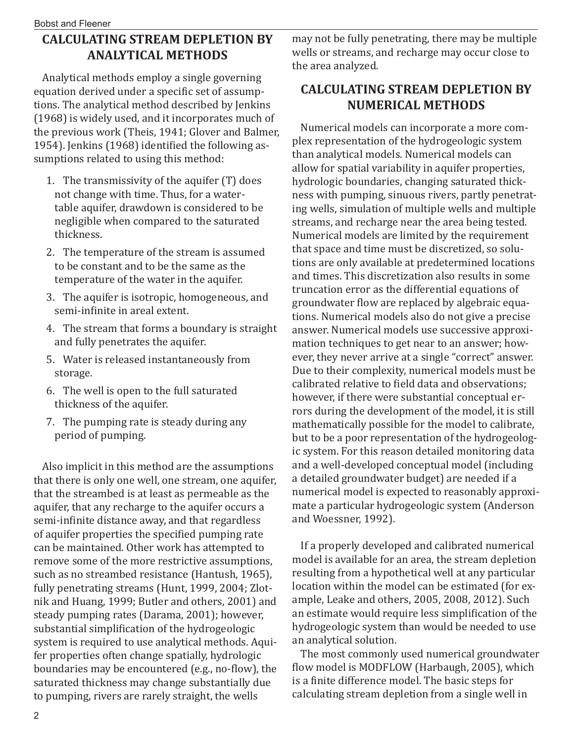# **CALCULATING STREAM DEPLETION BY ANALYTICAL METHODS**

Analytical methods employ a single governing equation derived under a specific set of assumptions. The analytical method described by Jenkins (1968) is widely used, and it incorporates much of the previous work (Theis, 1941; Glover and Balmer, 1954). Jenkins (1968) identified the following assumptions related to using this method:

- 1. The transmissivity of the aquifer (T) does not change with time. Thus, for a watertable aquifer, drawdown is considered to be negligible when compared to the saturated thickness.
- 2. The temperature of the stream is assumed to be constant and to be the same as the temperature of the water in the aquifer.
- 3. The aquifer is isotropic, homogeneous, and semi-infinite in areal extent.
- 4. The stream that forms a boundary is straight and fully penetrates the aquifer.
- 5. Water is released instantaneously from storage.
- 6. The well is open to the full saturated thickness of the aquifer.
- 7. The pumping rate is steady during any period of pumping.

Also implicit in this method are the assumptions that there is only one well, one stream, one aquifer, that the streambed is at least as permeable as the aquifer, that any recharge to the aquifer occurs a semi-infinite distance away, and that regardless of aquifer properties the specified pumping rate can be maintained. Other work has attempted to remove some of the more restrictive assumptions, such as no streambed resistance (Hantush, 1965), fully penetrating streams (Hunt, 1999, 2004; Zlotnik and Huang, 1999; Butler and others, 2001) and steady pumping rates (Darama, 2001); however, substantial simplification of the hydrogeologic system is required to use analytical methods. Aquifer properties often change spatially, hydrologic boundaries may be encountered (e.g., no-flow), the saturated thickness may change substantially due to pumping, rivers are rarely straight, the wells

may not be fully penetrating, there may be multiple wells or streams, and recharge may occur close to the area analyzed.

# **CALCULATING STREAM DEPLETION BY NUMERICAL METHODS**

Numerical models can incorporate a more complex representation of the hydrogeologic system than analytical models. Numerical models can allow for spatial variability in aquifer properties, hydrologic boundaries, changing saturated thickness with pumping, sinuous rivers, partly penetrating wells, simulation of multiple wells and multiple streams, and recharge near the area being tested. Numerical models are limited by the requirement that space and time must be discretized, so solutions are only available at predetermined locations and times. This discretization also results in some truncation error as the differential equations of groundwater flow are replaced by algebraic equations. Numerical models also do not give a precise answer. Numerical models use successive approximation techniques to get near to an answer; however, they never arrive at a single "correct" answer. Due to their complexity, numerical models must be calibrated relative to field data and observations; however, if there were substantial conceptual errors during the development of the model, it is still mathematically possible for the model to calibrate, but to be a poor representation of the hydrogeologic system. For this reason detailed monitoring data and a well-developed conceptual model (including a detailed groundwater budget) are needed if a numerical model is expected to reasonably approximate a particular hydrogeologic system (Anderson and Woessner, 1992).

If a properly developed and calibrated numerical model is available for an area, the stream depletion resulting from a hypothetical well at any particular location within the model can be estimated (for example, Leake and others, 2005, 2008, 2012). Such an estimate would require less simplification of the hydrogeologic system than would be needed to use an analytical solution.

The most commonly used numerical groundwater flow model is MODFLOW (Harbaugh, 2005), which is a finite difference model. The basic steps for calculating stream depletion from a single well in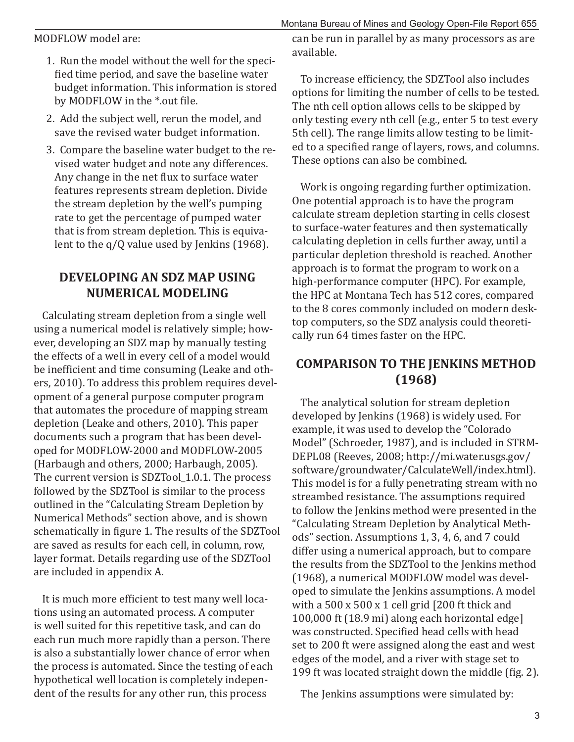MODFLOW model are:

- 1. Run the model without the well for the specified time period, and save the baseline water budget information. This information is stored by MODFLOW in the \*.out file.
- 2. Add the subject well, rerun the model, and save the revised water budget information.
- 3. Compare the baseline water budget to the revised water budget and note any differences. Any change in the net flux to surface water features represents stream depletion. Divide the stream depletion by the well's pumping rate to get the percentage of pumped water that is from stream depletion. This is equivalent to the q/Q value used by Jenkins (1968).

## **DEVELOPING AN SDZ MAP USING NUMERICAL MODELING**

Calculating stream depletion from a single well using a numerical model is relatively simple; however, developing an SDZ map by manually testing the effects of a well in every cell of a model would be inefficient and time consuming (Leake and others, 2010). To address this problem requires development of a general purpose computer program that automates the procedure of mapping stream depletion (Leake and others, 2010). This paper documents such a program that has been developed for MODFLOW-2000 and MODFLOW-2005 (Harbaugh and others, 2000; Harbaugh, 2005). The current version is SDZTool\_1.0.1. The process followed by the SDZTool is similar to the process outlined in the "Calculating Stream Depletion by Numerical Methods" section above, and is shown schematically in figure 1. The results of the SDZTool are saved as results for each cell, in column, row, layer format. Details regarding use of the SDZTool are included in appendix A.

It is much more efficient to test many well locations using an automated process. A computer is well suited for this repetitive task, and can do each run much more rapidly than a person. There is also a substantially lower chance of error when the process is automated. Since the testing of each hypothetical well location is completely independent of the results for any other run, this process

Montana Bureau of Mines and Geology Open-File Report 655 can be run in parallel by as many processors as are available.

To increase efficiency, the SDZTool also includes options for limiting the number of cells to be tested. The nth cell option allows cells to be skipped by only testing every nth cell (e.g., enter 5 to test every 5th cell). The range limits allow testing to be limited to a specified range of layers, rows, and columns. These options can also be combined.

Work is ongoing regarding further optimization. One potential approach is to have the program calculate stream depletion starting in cells closest to surface-water features and then systematically calculating depletion in cells further away, until a particular depletion threshold is reached. Another approach is to format the program to work on a high-performance computer (HPC). For example, the HPC at Montana Tech has 512 cores, compared to the 8 cores commonly included on modern desktop computers, so the SDZ analysis could theoretically run 64 times faster on the HPC.

# **COMPARISON TO THE JENKINS METHOD ȍ1968Ȏ**

The analytical solution for stream depletion developed by Jenkins (1968) is widely used. For example, it was used to develop the "Colorado Model" (Schroeder, 1987), and is included in STRM-DEPL08 (Reeves, 2008; http://mi.water.usgs.gov/ software/groundwater/CalculateWell/index.html). This model is for a fully penetrating stream with no streambed resistance. The assumptions required to follow the Jenkins method were presented in the "Calculating Stream Depletion by Analytical Methods" section. Assumptions 1, 3, 4, 6, and 7 could differ using a numerical approach, but to compare the results from the SDZTool to the Jenkins method (1968), a numerical MODFLOW model was developed to simulate the Jenkins assumptions. A model with a 500 x 500 x 1 cell grid [200 ft thick and 100,000 ft (18.9 mi) along each horizontal edge] was constructed. Specified head cells with head set to 200 ft were assigned along the east and west edges of the model, and a river with stage set to 199 ft was located straight down the middle (fig. 2).

The Jenkins assumptions were simulated by: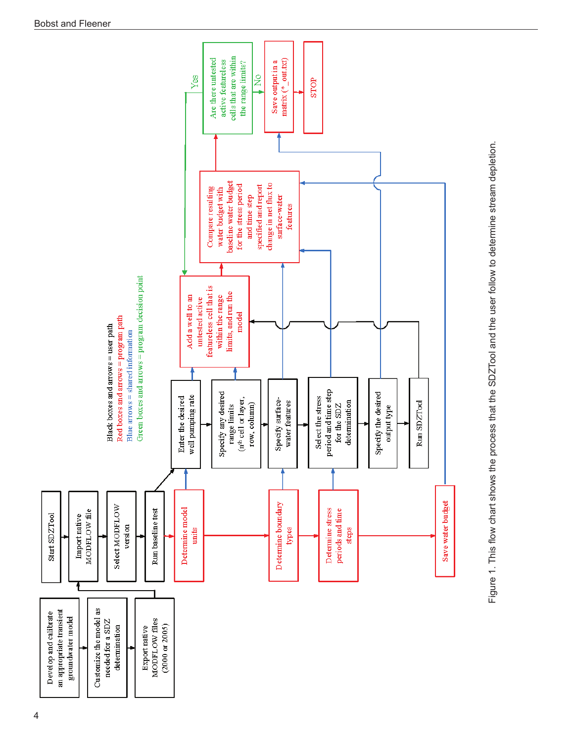

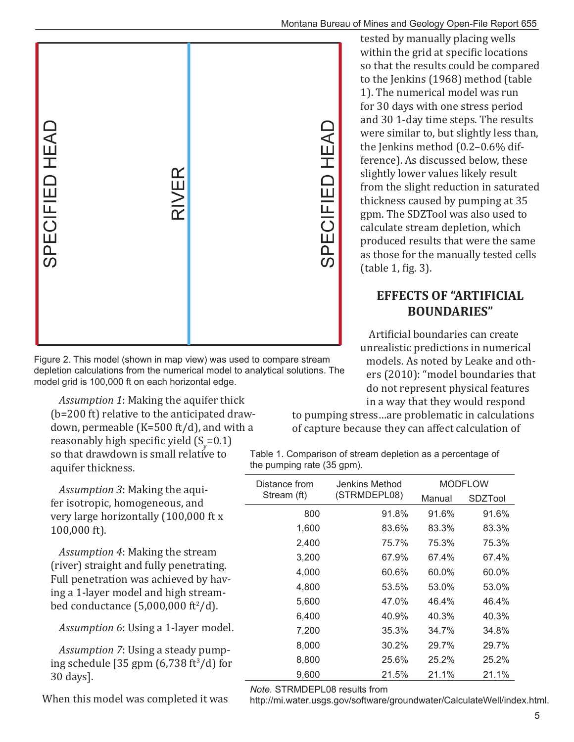#### Montana Bureau of Mines and Geology Open-File Report 655



Figure 2. This model (shown in map view) was used to compare stream depletion calculations from the numerical model to analytical solutions. The model grid is 100,000 ft on each horizontal edge.

*Assumption 1*: Making the aquifer thick (b=200 ft) relative to the anticipated drawdown, permeable (K=500 ft/d), and with a reasonably high specific yield  $(S_y=0.1)$ so that drawdown is small relative to aquifer thickness.

*Assumption 3*: Making the aquifer isotropic, homogeneous, and very large horizontally (100,000 ft x 100,000 ft).

*Assumption 4*: Making the stream (river) straight and fully penetrating. Full penetration was achieved by having a 1-layer model and high streambed conductance  $(5,000,000 \text{ ft}^2/\text{d})$ .

*Assumption 6*: Using a 1-layer model.

*Assumption 7*: Using a steady pumping schedule [35 gpm  $(6,738 \text{ ft}^3/\text{d})$  for 30 days].

When this model was completed it was

tested by manually placing wells within the grid at specific locations so that the results could be compared to the Jenkins (1968) method (table 1). The numerical model was run for 30 days with one stress period and 30 1-day time steps. The results were similar to, but slightly less than, the Jenkins method (0.2–0.6% difference). As discussed below, these slightly lower values likely result from the slight reduction in saturated thickness caused by pumping at 35 gpm. The SDZTool was also used to calculate stream depletion, which produced results that were the same as those for the manually tested cells  $(table 1, fig. 3).$ 

## **EFFECTS OF "ARTIFICIAL BOUNDARIES"**

Artificial boundaries can create unrealistic predictions in numerical models. As noted by Leake and others (2010): "model boundaries that do not represent physical features in a way that they would respond

to pumping stress…are problematic in calculations of capture because they can affect calculation of

Table 1. Comparison of stream depletion as a percentage of the pumping rate (35 gpm).

| Distance from | Jenkins Method |        | <b>MODFLOW</b> |
|---------------|----------------|--------|----------------|
| Stream (ft)   | (STRMDEPL08)   | Manual | SDZTool        |
| 800           | 91.8%          | 91.6%  | 91.6%          |
| 1,600         | 83.6%          | 83.3%  | 83.3%          |
| 2,400         | 75.7%          | 75.3%  | 75.3%          |
| 3,200         | 67.9%          | 67.4%  | 67.4%          |
| 4,000         | 60.6%          | 60.0%  | 60.0%          |
| 4,800         | 53.5%          | 53.0%  | 53.0%          |
| 5,600         | 47.0%          | 46.4%  | 46.4%          |
| 6,400         | 40.9%          | 40.3%  | 40.3%          |
| 7,200         | 35.3%          | 34.7%  | 34.8%          |
| 8,000         | 30.2%          | 29.7%  | 29.7%          |
| 8,800         | 25.6%          | 25.2%  | 25.2%          |
| 9,600         | 21.5%          | 21.1%  | 21.1%          |

*Note.* STRMDEPL08 results from

http://mi.water.usgs.gov/software/groundwater/CalculateWell/index.html.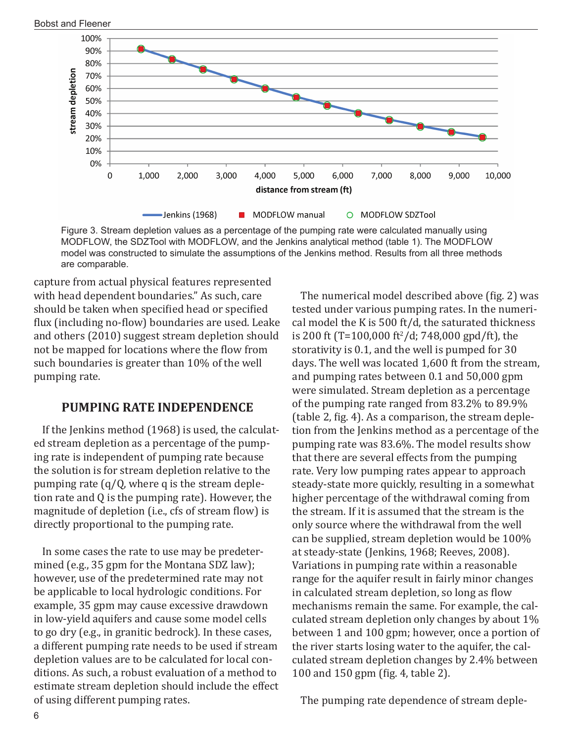

Figure 3. Stream depletion values as a percentage of the pumping rate were calculated manually using MODFLOW, the SDZTool with MODFLOW, and the Jenkins analytical method (table 1). The MODFLOW model was constructed to simulate the assumptions of the Jenkins method. Results from all three methods are comparable.

capture from actual physical features represented with head dependent boundaries." As such, care should be taken when specified head or specified flux (including no-flow) boundaries are used. Leake and others (2010) suggest stream depletion should not be mapped for locations where the flow from such boundaries is greater than 10% of the well pumping rate.

## **PUMPING RATE INDEPENDENCE**

If the Jenkins method (1968) is used, the calculated stream depletion as a percentage of the pumping rate is independent of pumping rate because the solution is for stream depletion relative to the pumping rate (q/Q, where q is the stream depletion rate and Q is the pumping rate). However, the magnitude of depletion (i.e., cfs of stream flow) is directly proportional to the pumping rate.

In some cases the rate to use may be predetermined (e.g., 35 gpm for the Montana SDZ law); however, use of the predetermined rate may not be applicable to local hydrologic conditions. For example, 35 gpm may cause excessive drawdown in low-yield aquifers and cause some model cells to go dry (e.g., in granitic bedrock). In these cases, a different pumping rate needs to be used if stream depletion values are to be calculated for local conditions. As such, a robust evaluation of a method to estimate stream depletion should include the effect of using different pumping rates.

The numerical model described above (fig. 2) was tested under various pumping rates. In the numerical model the K is 500 ft/d, the saturated thickness is 200 ft (T=100,000 ft<sup>2</sup>/d; 748,000 gpd/ft), the storativity is 0.1, and the well is pumped for 30 days. The well was located 1,600 ft from the stream, and pumping rates between 0.1 and 50,000 gpm were simulated. Stream depletion as a percentage of the pumping rate ranged from 83.2% to 89.9% (table 2, fig. 4). As a comparison, the stream depletion from the Jenkins method as a percentage of the pumping rate was 83.6%. The model results show that there are several effects from the pumping rate. Very low pumping rates appear to approach steady-state more quickly, resulting in a somewhat higher percentage of the withdrawal coming from the stream. If it is assumed that the stream is the only source where the withdrawal from the well can be supplied, stream depletion would be 100% at steady-state (Jenkins, 1968; Reeves, 2008). Variations in pumping rate within a reasonable range for the aquifer result in fairly minor changes in calculated stream depletion, so long as flow mechanisms remain the same. For example, the calculated stream depletion only changes by about 1% between 1 and 100 gpm; however, once a portion of the river starts losing water to the aquifer, the calculated stream depletion changes by 2.4% between 100 and 150 gpm (fig. 4, table 2).

The pumping rate dependence of stream deple-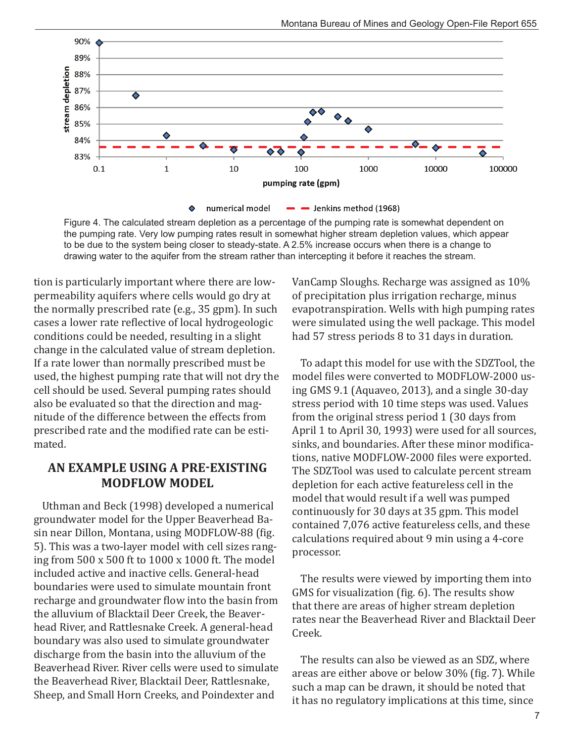

Figure 4. The calculated stream depletion as a percentage of the pumping rate is somewhat dependent on the pumping rate. Very low pumping rates result in somewhat higher stream depletion values, which appear to be due to the system being closer to steady-state. A 2.5% increase occurs when there is a change to drawing water to the aquifer from the stream rather than intercepting it before it reaches the stream.

tion is particularly important where there are lowpermeability aquifers where cells would go dry at the normally prescribed rate (e.g., 35 gpm). In such cases a lower rate reflective of local hydrogeologic conditions could be needed, resulting in a slight change in the calculated value of stream depletion. If a rate lower than normally prescribed must be used, the highest pumping rate that will not dry the cell should be used. Several pumping rates should also be evaluated so that the direction and magnitude of the difference between the effects from prescribed rate and the modified rate can be estimated.

## **AN EXAMPLE USING A PRE-EXISTING MODFLOW MODEL**

Uthman and Beck (1998) developed a numerical groundwater model for the Upper Beaverhead Basin near Dillon, Montana, using MODFLOW-88 (fig. 5). This was a two-layer model with cell sizes ranging from 500 x 500 ft to 1000 x 1000 ft. The model included active and inactive cells. General-head boundaries were used to simulate mountain front recharge and groundwater flow into the basin from the alluvium of Blacktail Deer Creek, the Beaverhead River, and Rattlesnake Creek. A general-head boundary was also used to simulate groundwater discharge from the basin into the alluvium of the Beaverhead River. River cells were used to simulate the Beaverhead River, Blacktail Deer, Rattlesnake, Sheep, and Small Horn Creeks, and Poindexter and

VanCamp Sloughs. Recharge was assigned as 10% of precipitation plus irrigation recharge, minus evapotranspiration. Wells with high pumping rates were simulated using the well package. This model had 57 stress periods 8 to 31 days in duration.

To adapt this model for use with the SDZTool, the model files were converted to MODFLOW-2000 using GMS 9.1 (Aquaveo, 2013), and a single 30-day stress period with 10 time steps was used. Values from the original stress period 1 (30 days from April 1 to April 30, 1993) were used for all sources, sinks, and boundaries. After these minor modifications, native MODFLOW-2000 files were exported. The SDZTool was used to calculate percent stream depletion for each active featureless cell in the model that would result if a well was pumped continuously for 30 days at 35 gpm. This model contained 7,076 active featureless cells, and these calculations required about 9 min using a 4-core processor.

The results were viewed by importing them into  $GMS$  for visualization (fig. 6). The results show that there are areas of higher stream depletion rates near the Beaverhead River and Blacktail Deer Creek.

The results can also be viewed as an SDZ, where areas are either above or below 30% (fig. 7). While such a map can be drawn, it should be noted that it has no regulatory implications at this time, since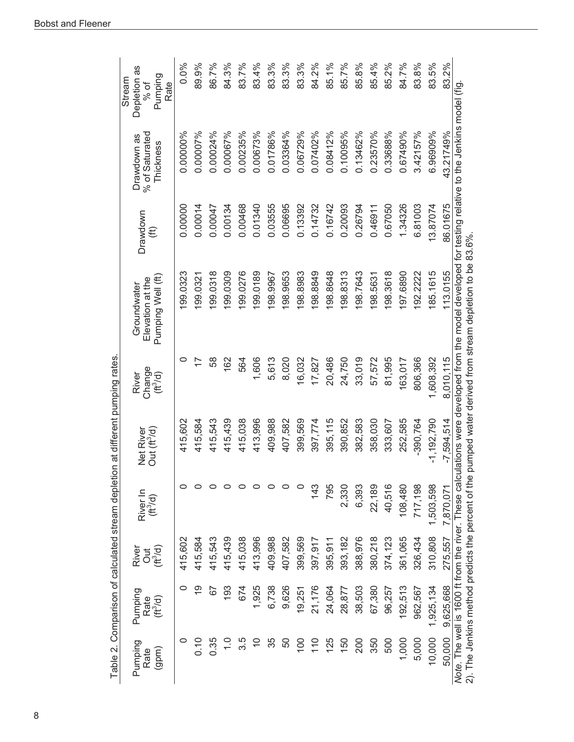| 0.0%<br>83.2%<br>83.5%<br>84.3%<br>83.7%<br>83.4%<br>83.3%<br>83.3%<br>89.9%<br>86.7%<br>83.3%<br>84.2%<br>85.1%<br>85.7%<br>85.8%<br>85.4%<br>85.2%<br>84.7%<br>83.8%<br>Depletion as<br>Pumping<br>Rate<br>% of<br>0.00673%<br>0.03364%<br>43.21749%<br>0.00007%<br>0.01786%<br>0.06729%<br>0.07402%<br>0.10095%<br>0.23570%<br>0.67490%<br>6.96909%<br>0.00000%<br>0.00024%<br>0.00067%<br>0.00235%<br>0.08412%<br>0.13462%<br>0.33688%<br>3.42157%<br>% of Saturated<br>Drawdown as<br>Thickness<br>0.00468<br>0.01340<br>0.03555<br>0.06695<br>0.13392<br>0.14732<br>0.16742<br>0.20093<br>0.67050<br>1.34326<br>6.81003<br>86.01675<br>0.00000<br>0.00014<br>0.00134<br>0.26794<br>13.87074<br>0.00047<br>0.46911<br>Drawdown<br>$\left( \text{ft} \right)$<br>97.6890<br>113.0155<br>99.0323<br>99.0318<br>99.0309<br>99.0276<br>99.0189<br>98.9653<br>98.8983<br>98.8849<br>98.8648<br>98.8313<br>98.7643<br>98.3618<br>85.1615<br>92.2222<br>98.9967<br>99.0321<br>98.5631<br>Pumping Well (ft)<br>Elevation at the<br>Groundwater<br>0<br>24,750<br>81,995<br>1,608,392<br>8,010,115<br>58<br>162<br>1,606<br>5,613<br>8,020<br>16,032<br>20,486<br>33,019<br>57,572<br>163,017<br>806,366<br>564<br>17,827<br>Change<br>River<br>$(\hbar^3/d)$<br>358,030<br>415,602<br>415,439<br>415,038<br>413,996<br>409,988<br>407,582<br>399,569<br>395,115<br>390,852<br>382,583<br>252,585<br>$-1,192,790$<br>415,584<br>415,543<br>397,774<br>$-390,764$<br>$-7,594,514$<br>333,607<br>Net River<br>Out (ft <sup>3</sup> /d)<br>22,189<br>40,516<br>108,480<br>717,198<br>143<br>795<br>2,330<br>6,393<br>1,503,598<br>7,870,071<br>River In<br>(ft <sup>3</sup> /d)<br>393,182<br>310,808<br>415,543<br>415,038<br>413,996<br>409,988<br>407,582<br>399,569<br>388,976<br>380,218<br>374,123<br>275,557<br>415,602<br>415,584<br>415.439<br>397,917<br>361,065<br>326,434<br>395,911<br>Dut<br>C毛<br>River<br>9,625,668<br><u>စု</u><br>193<br>1,925<br>6,738<br>9,626<br>21,176<br>674<br>24,064<br>38,503<br>67,380<br>192,513<br>96,257<br>962,567<br>1,925,134<br>59<br>28,877<br>19,251<br>Pumping<br>Rate<br>(ft <sup>3</sup> /d)<br>50,000<br>10,000<br>5,000<br>0.10<br>0.35<br>35<br>100<br>110<br>125<br>150<br>200<br>350<br>500<br>1,000<br>0<br>3.5<br>$\overline{C}$<br>50<br>$\frac{1}{\sqrt{2}}$<br>(gpm)<br>Rate | Note. The well is 1600 ft from the river. These calculations were developed from the model developed for testing relative to the Jenkins model (fig<br>2). The Jenkins method predicts the percent of the pumped water derived from stream depletion to be 83.6%.<br>Pumping |  |  | Table 2. Comparison of calculated stream depletion at different pumping rates |  |  | Stream |
|----------------------------------------------------------------------------------------------------------------------------------------------------------------------------------------------------------------------------------------------------------------------------------------------------------------------------------------------------------------------------------------------------------------------------------------------------------------------------------------------------------------------------------------------------------------------------------------------------------------------------------------------------------------------------------------------------------------------------------------------------------------------------------------------------------------------------------------------------------------------------------------------------------------------------------------------------------------------------------------------------------------------------------------------------------------------------------------------------------------------------------------------------------------------------------------------------------------------------------------------------------------------------------------------------------------------------------------------------------------------------------------------------------------------------------------------------------------------------------------------------------------------------------------------------------------------------------------------------------------------------------------------------------------------------------------------------------------------------------------------------------------------------------------------------------------------------------------------------------------------------------------------------------------------------------------------------------------------------------------------------------------------------------------------------------------------------------------------------------------------------------------------------------------------------------------------------------------------------------------------------------------------------------------------------------------------------------------|------------------------------------------------------------------------------------------------------------------------------------------------------------------------------------------------------------------------------------------------------------------------------|--|--|-------------------------------------------------------------------------------|--|--|--------|
|                                                                                                                                                                                                                                                                                                                                                                                                                                                                                                                                                                                                                                                                                                                                                                                                                                                                                                                                                                                                                                                                                                                                                                                                                                                                                                                                                                                                                                                                                                                                                                                                                                                                                                                                                                                                                                                                                                                                                                                                                                                                                                                                                                                                                                                                                                                                        |                                                                                                                                                                                                                                                                              |  |  |                                                                               |  |  |        |
|                                                                                                                                                                                                                                                                                                                                                                                                                                                                                                                                                                                                                                                                                                                                                                                                                                                                                                                                                                                                                                                                                                                                                                                                                                                                                                                                                                                                                                                                                                                                                                                                                                                                                                                                                                                                                                                                                                                                                                                                                                                                                                                                                                                                                                                                                                                                        |                                                                                                                                                                                                                                                                              |  |  |                                                                               |  |  |        |
|                                                                                                                                                                                                                                                                                                                                                                                                                                                                                                                                                                                                                                                                                                                                                                                                                                                                                                                                                                                                                                                                                                                                                                                                                                                                                                                                                                                                                                                                                                                                                                                                                                                                                                                                                                                                                                                                                                                                                                                                                                                                                                                                                                                                                                                                                                                                        |                                                                                                                                                                                                                                                                              |  |  |                                                                               |  |  |        |
|                                                                                                                                                                                                                                                                                                                                                                                                                                                                                                                                                                                                                                                                                                                                                                                                                                                                                                                                                                                                                                                                                                                                                                                                                                                                                                                                                                                                                                                                                                                                                                                                                                                                                                                                                                                                                                                                                                                                                                                                                                                                                                                                                                                                                                                                                                                                        |                                                                                                                                                                                                                                                                              |  |  |                                                                               |  |  |        |
|                                                                                                                                                                                                                                                                                                                                                                                                                                                                                                                                                                                                                                                                                                                                                                                                                                                                                                                                                                                                                                                                                                                                                                                                                                                                                                                                                                                                                                                                                                                                                                                                                                                                                                                                                                                                                                                                                                                                                                                                                                                                                                                                                                                                                                                                                                                                        |                                                                                                                                                                                                                                                                              |  |  |                                                                               |  |  |        |
|                                                                                                                                                                                                                                                                                                                                                                                                                                                                                                                                                                                                                                                                                                                                                                                                                                                                                                                                                                                                                                                                                                                                                                                                                                                                                                                                                                                                                                                                                                                                                                                                                                                                                                                                                                                                                                                                                                                                                                                                                                                                                                                                                                                                                                                                                                                                        |                                                                                                                                                                                                                                                                              |  |  |                                                                               |  |  |        |
|                                                                                                                                                                                                                                                                                                                                                                                                                                                                                                                                                                                                                                                                                                                                                                                                                                                                                                                                                                                                                                                                                                                                                                                                                                                                                                                                                                                                                                                                                                                                                                                                                                                                                                                                                                                                                                                                                                                                                                                                                                                                                                                                                                                                                                                                                                                                        |                                                                                                                                                                                                                                                                              |  |  |                                                                               |  |  |        |
|                                                                                                                                                                                                                                                                                                                                                                                                                                                                                                                                                                                                                                                                                                                                                                                                                                                                                                                                                                                                                                                                                                                                                                                                                                                                                                                                                                                                                                                                                                                                                                                                                                                                                                                                                                                                                                                                                                                                                                                                                                                                                                                                                                                                                                                                                                                                        |                                                                                                                                                                                                                                                                              |  |  |                                                                               |  |  |        |
|                                                                                                                                                                                                                                                                                                                                                                                                                                                                                                                                                                                                                                                                                                                                                                                                                                                                                                                                                                                                                                                                                                                                                                                                                                                                                                                                                                                                                                                                                                                                                                                                                                                                                                                                                                                                                                                                                                                                                                                                                                                                                                                                                                                                                                                                                                                                        |                                                                                                                                                                                                                                                                              |  |  |                                                                               |  |  |        |
|                                                                                                                                                                                                                                                                                                                                                                                                                                                                                                                                                                                                                                                                                                                                                                                                                                                                                                                                                                                                                                                                                                                                                                                                                                                                                                                                                                                                                                                                                                                                                                                                                                                                                                                                                                                                                                                                                                                                                                                                                                                                                                                                                                                                                                                                                                                                        |                                                                                                                                                                                                                                                                              |  |  |                                                                               |  |  |        |
|                                                                                                                                                                                                                                                                                                                                                                                                                                                                                                                                                                                                                                                                                                                                                                                                                                                                                                                                                                                                                                                                                                                                                                                                                                                                                                                                                                                                                                                                                                                                                                                                                                                                                                                                                                                                                                                                                                                                                                                                                                                                                                                                                                                                                                                                                                                                        |                                                                                                                                                                                                                                                                              |  |  |                                                                               |  |  |        |
|                                                                                                                                                                                                                                                                                                                                                                                                                                                                                                                                                                                                                                                                                                                                                                                                                                                                                                                                                                                                                                                                                                                                                                                                                                                                                                                                                                                                                                                                                                                                                                                                                                                                                                                                                                                                                                                                                                                                                                                                                                                                                                                                                                                                                                                                                                                                        |                                                                                                                                                                                                                                                                              |  |  |                                                                               |  |  |        |
|                                                                                                                                                                                                                                                                                                                                                                                                                                                                                                                                                                                                                                                                                                                                                                                                                                                                                                                                                                                                                                                                                                                                                                                                                                                                                                                                                                                                                                                                                                                                                                                                                                                                                                                                                                                                                                                                                                                                                                                                                                                                                                                                                                                                                                                                                                                                        |                                                                                                                                                                                                                                                                              |  |  |                                                                               |  |  |        |
|                                                                                                                                                                                                                                                                                                                                                                                                                                                                                                                                                                                                                                                                                                                                                                                                                                                                                                                                                                                                                                                                                                                                                                                                                                                                                                                                                                                                                                                                                                                                                                                                                                                                                                                                                                                                                                                                                                                                                                                                                                                                                                                                                                                                                                                                                                                                        |                                                                                                                                                                                                                                                                              |  |  |                                                                               |  |  |        |
|                                                                                                                                                                                                                                                                                                                                                                                                                                                                                                                                                                                                                                                                                                                                                                                                                                                                                                                                                                                                                                                                                                                                                                                                                                                                                                                                                                                                                                                                                                                                                                                                                                                                                                                                                                                                                                                                                                                                                                                                                                                                                                                                                                                                                                                                                                                                        |                                                                                                                                                                                                                                                                              |  |  |                                                                               |  |  |        |
|                                                                                                                                                                                                                                                                                                                                                                                                                                                                                                                                                                                                                                                                                                                                                                                                                                                                                                                                                                                                                                                                                                                                                                                                                                                                                                                                                                                                                                                                                                                                                                                                                                                                                                                                                                                                                                                                                                                                                                                                                                                                                                                                                                                                                                                                                                                                        |                                                                                                                                                                                                                                                                              |  |  |                                                                               |  |  |        |
|                                                                                                                                                                                                                                                                                                                                                                                                                                                                                                                                                                                                                                                                                                                                                                                                                                                                                                                                                                                                                                                                                                                                                                                                                                                                                                                                                                                                                                                                                                                                                                                                                                                                                                                                                                                                                                                                                                                                                                                                                                                                                                                                                                                                                                                                                                                                        |                                                                                                                                                                                                                                                                              |  |  |                                                                               |  |  |        |
|                                                                                                                                                                                                                                                                                                                                                                                                                                                                                                                                                                                                                                                                                                                                                                                                                                                                                                                                                                                                                                                                                                                                                                                                                                                                                                                                                                                                                                                                                                                                                                                                                                                                                                                                                                                                                                                                                                                                                                                                                                                                                                                                                                                                                                                                                                                                        |                                                                                                                                                                                                                                                                              |  |  |                                                                               |  |  |        |
|                                                                                                                                                                                                                                                                                                                                                                                                                                                                                                                                                                                                                                                                                                                                                                                                                                                                                                                                                                                                                                                                                                                                                                                                                                                                                                                                                                                                                                                                                                                                                                                                                                                                                                                                                                                                                                                                                                                                                                                                                                                                                                                                                                                                                                                                                                                                        |                                                                                                                                                                                                                                                                              |  |  |                                                                               |  |  |        |
|                                                                                                                                                                                                                                                                                                                                                                                                                                                                                                                                                                                                                                                                                                                                                                                                                                                                                                                                                                                                                                                                                                                                                                                                                                                                                                                                                                                                                                                                                                                                                                                                                                                                                                                                                                                                                                                                                                                                                                                                                                                                                                                                                                                                                                                                                                                                        |                                                                                                                                                                                                                                                                              |  |  |                                                                               |  |  |        |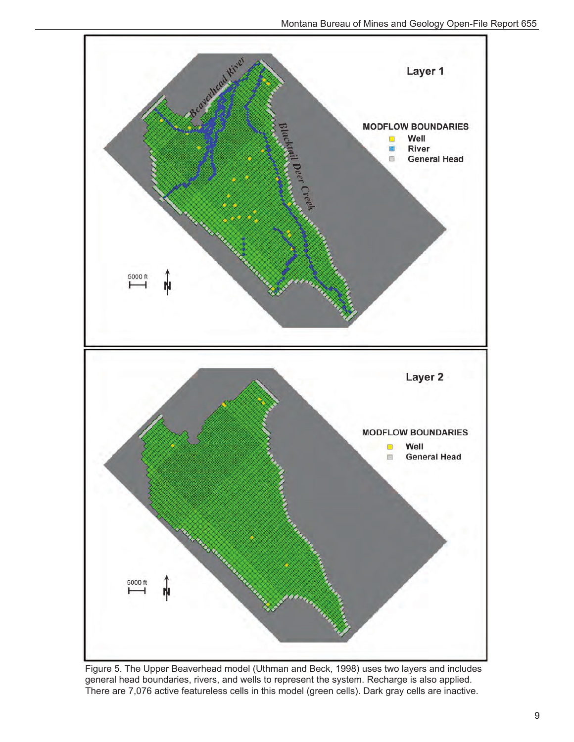

Figure 5. The Upper Beaverhead model (Uthman and Beck, 1998) uses two layers and includes general head boundaries, rivers, and wells to represent the system. Recharge is also applied. There are 7,076 active featureless cells in this model (green cells). Dark gray cells are inactive.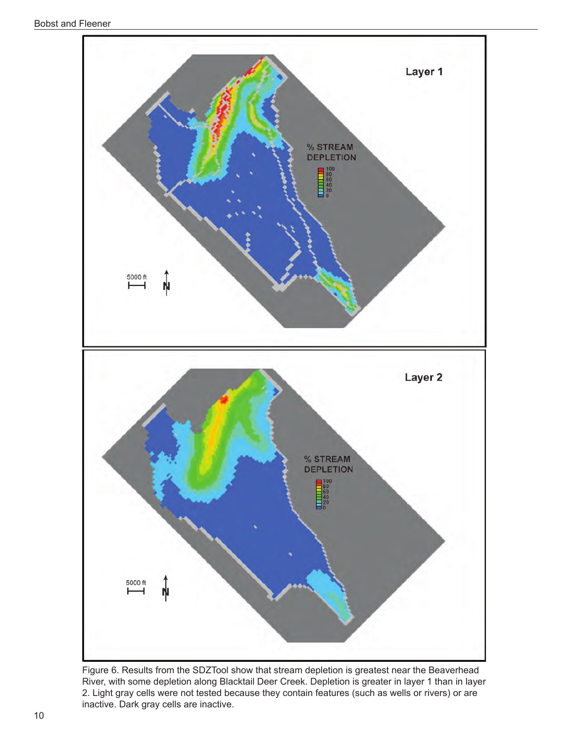

Figure 6. Results from the SDZTool show that stream depletion is greatest near the Beaverhead River, with some depletion along Blacktail Deer Creek. Depletion is greater in layer 1 than in layer 2. Light gray cells were not tested because they contain features (such as wells or rivers) or are inactive. Dark gray cells are inactive.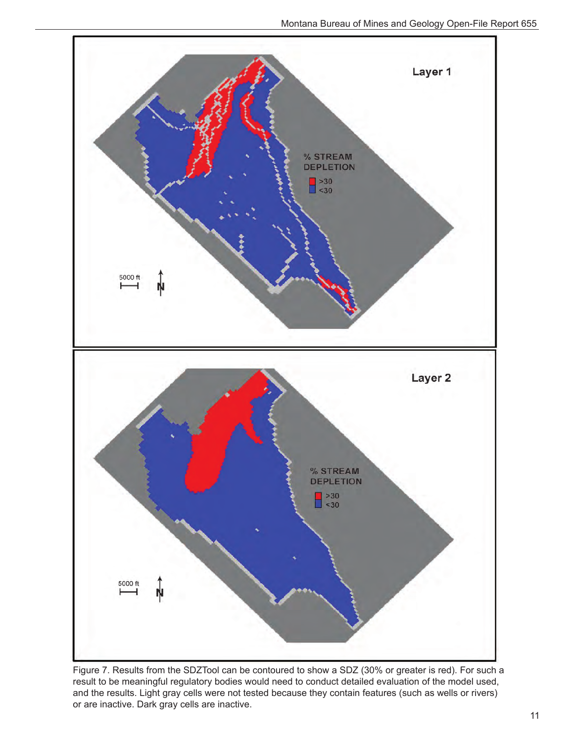

Figure 7. Results from the SDZTool can be contoured to show a SDZ (30% or greater is red). For such a result to be meaningful regulatory bodies would need to conduct detailed evaluation of the model used, and the results. Light gray cells were not tested because they contain features (such as wells or rivers) or are inactive. Dark gray cells are inactive.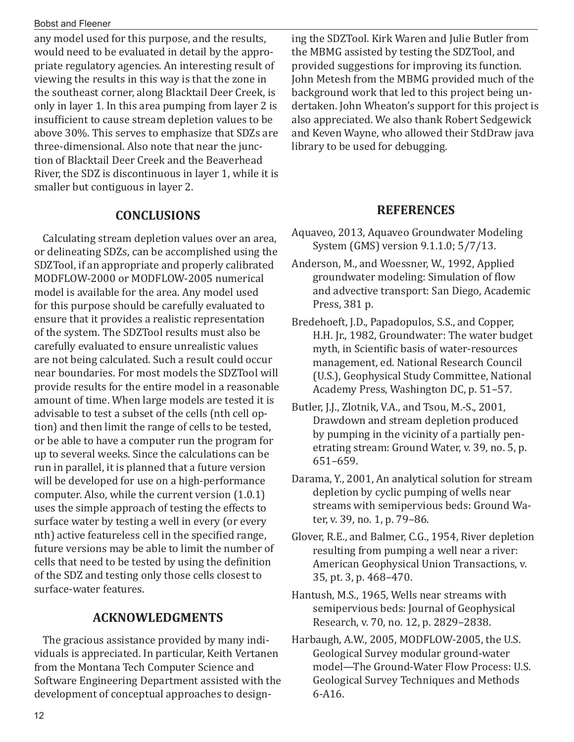#### Bobst and Fleener

any model used for this purpose, and the results, would need to be evaluated in detail by the appropriate regulatory agencies. An interesting result of viewing the results in this way is that the zone in the southeast corner, along Blacktail Deer Creek, is only in layer 1. In this area pumping from layer 2 is insufficient to cause stream depletion values to be above 30%. This serves to emphasize that SDZs are three-dimensional. Also note that near the junction of Blacktail Deer Creek and the Beaverhead River, the SDZ is discontinuous in layer 1, while it is smaller but contiguous in layer 2.

## **CONCLUSIONS**

Calculating stream depletion values over an area, or delineating SDZs, can be accomplished using the SDZTool, if an appropriate and properly calibrated MODFLOW-2000 or MODFLOW-2005 numerical model is available for the area. Any model used for this purpose should be carefully evaluated to ensure that it provides a realistic representation of the system. The SDZTool results must also be carefully evaluated to ensure unrealistic values are not being calculated. Such a result could occur near boundaries. For most models the SDZTool will provide results for the entire model in a reasonable amount of time. When large models are tested it is advisable to test a subset of the cells (nth cell option) and then limit the range of cells to be tested, or be able to have a computer run the program for up to several weeks. Since the calculations can be run in parallel, it is planned that a future version will be developed for use on a high-performance computer. Also, while the current version (1.0.1) uses the simple approach of testing the effects to surface water by testing a well in every (or every nth) active featureless cell in the specified range, future versions may be able to limit the number of cells that need to be tested by using the definition of the SDZ and testing only those cells closest to surface-water features.

## **ACKNOWLEDGMENTS**

The gracious assistance provided by many individuals is appreciated. In particular, Keith Vertanen from the Montana Tech Computer Science and Software Engineering Department assisted with the development of conceptual approaches to designing the SDZTool. Kirk Waren and Julie Butler from the MBMG assisted by testing the SDZTool, and provided suggestions for improving its function. John Metesh from the MBMG provided much of the background work that led to this project being undertaken. John Wheaton's support for this project is also appreciated. We also thank Robert Sedgewick and Keven Wayne, who allowed their StdDraw java library to be used for debugging.

## **REFERENCES**

- Aquaveo, 2013, Aquaveo Groundwater Modeling System (GMS) version 9.1.1.0; 5/7/13.
- Anderson, M., and Woessner, W., 1992, Applied groundwater modeling: Simulation of flow and advective transport: San Diego, Academic Press, 381 p.
- Bredehoeft, J.D., Papadopulos, S.S., and Copper, H.H. Jr., 1982, Groundwater: The water budget myth, in Scientific basis of water-resources management, ed. National Research Council (U.S.), Geophysical Study Committee, National Academy Press, Washington DC, p. 51–57.
- Butler, J.J., Zlotnik, V.A., and Tsou, M.-S., 2001, Drawdown and stream depletion produced by pumping in the vicinity of a partially penetrating stream: Ground Water, v. 39, no. 5, p. 651–659.
- Darama, Y., 2001, An analytical solution for stream depletion by cyclic pumping of wells near streams with semipervious beds: Ground Water, v. 39, no. 1, p. 79–86.
- Glover, R.E., and Balmer, C.G., 1954, River depletion resulting from pumping a well near a river: American Geophysical Union Transactions, v. 35, pt. 3, p. 468–470.
- Hantush, M.S., 1965, Wells near streams with semipervious beds: Journal of Geophysical Research, v. 70, no. 12, p. 2829–2838.
- Harbaugh, A.W., 2005, MODFLOW-2005, the U.S. Geological Survey modular ground-water model—The Ground-Water Flow Process: U.S. Geological Survey Techniques and Methods 6-A16.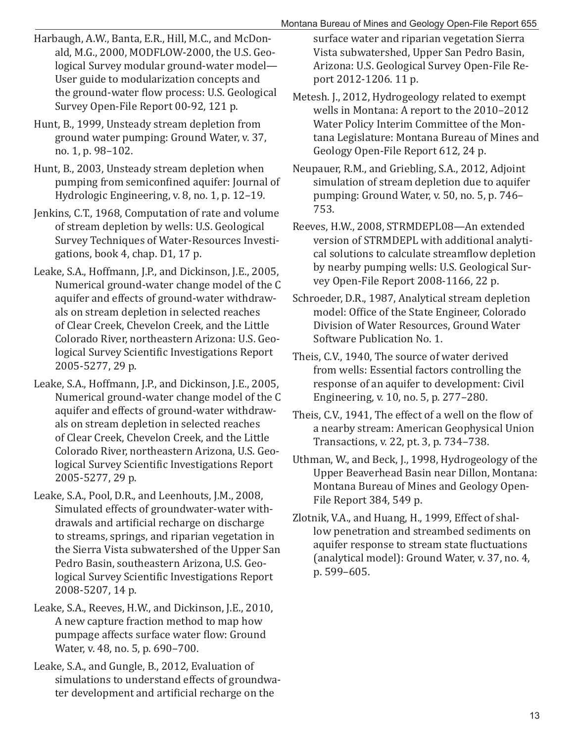- Harbaugh, A.W., Banta, E.R., Hill, M.C., and McDonald, M.G., 2000, MODFLOW-2000, the U.S. Geological Survey modular ground-water model— User guide to modularization concepts and the ground-water flow process: U.S. Geological Survey Open-File Report 00-92, 121 p.
- Hunt, B., 1999, Unsteady stream depletion from ground water pumping: Ground Water, v. 37, no. 1, p. 98–102.
- Hunt, B., 2003, Unsteady stream depletion when pumping from semiconfined aquifer: Journal of Hydrologic Engineering, v. 8, no. 1, p. 12–19.
- Jenkins, C.T., 1968, Computation of rate and volume of stream depletion by wells: U.S. Geological Survey Techniques of Water-Resources Investigations, book 4, chap. D1, 17 p.
- Leake, S.A., Hoffmann, J.P., and Dickinson, J.E., 2005, Numerical ground-water change model of the C aquifer and effects of ground-water withdrawals on stream depletion in selected reaches of Clear Creek, Chevelon Creek, and the Little Colorado River, northeastern Arizona: U.S. Geological Survey Scientific Investigations Report 2005-5277, 29 p.
- Leake, S.A., Hoffmann, J.P., and Dickinson, J.E., 2005, Numerical ground-water change model of the C aquifer and effects of ground-water withdrawals on stream depletion in selected reaches of Clear Creek, Chevelon Creek, and the Little Colorado River, northeastern Arizona, U.S. Geological Survey Scientific Investigations Report 2005-5277, 29 p.
- Leake, S.A., Pool, D.R., and Leenhouts, J.M., 2008, Simulated effects of groundwater-water withdrawals and artificial recharge on discharge to streams, springs, and riparian vegetation in the Sierra Vista subwatershed of the Upper San Pedro Basin, southeastern Arizona, U.S. Geological Survey Scientific Investigations Report 2008-5207, 14 p.
- Leake, S.A., Reeves, H.W., and Dickinson, J.E., 2010, A new capture fraction method to map how pumpage affects surface water flow: Ground Water, v. 48, no. 5, p. 690–700.
- Leake, S.A., and Gungle, B., 2012, Evaluation of simulations to understand effects of groundwater development and artificial recharge on the

surface water and riparian vegetation Sierra Vista subwatershed, Upper San Pedro Basin, Arizona: U.S. Geological Survey Open-File Report 2012-1206. 11 p.

- Metesh. J., 2012, Hydrogeology related to exempt wells in Montana: A report to the 2010–2012 Water Policy Interim Committee of the Montana Legislature: Montana Bureau of Mines and Geology Open-File Report 612, 24 p.
- Neupauer, R.M., and Griebling, S.A., 2012, Adjoint simulation of stream depletion due to aquifer pumping: Ground Water, v. 50, no. 5, p. 746– 753.
- Reeves, H.W., 2008, STRMDEPL08—An extended version of STRMDEPL with additional analytical solutions to calculate streamflow depletion by nearby pumping wells: U.S. Geological Survey Open-File Report 2008-1166, 22 p.
- Schroeder, D.R., 1987, Analytical stream depletion model: Office of the State Engineer, Colorado Division of Water Resources, Ground Water Software Publication No. 1.
- Theis, C.V., 1940, The source of water derived from wells: Essential factors controlling the response of an aquifer to development: Civil Engineering, v. 10, no. 5, p. 277–280.
- Theis, C.V., 1941, The effect of a well on the flow of a nearby stream: American Geophysical Union Transactions, v. 22, pt. 3, p. 734–738.
- Uthman, W., and Beck, J., 1998, Hydrogeology of the Upper Beaverhead Basin near Dillon, Montana: Montana Bureau of Mines and Geology Open-File Report 384, 549 p.
- Zlotnik, V.A., and Huang, H., 1999, Effect of shallow penetration and streambed sediments on aquifer response to stream state fluctuations (analytical model): Ground Water, v. 37, no. 4, p. 599–605.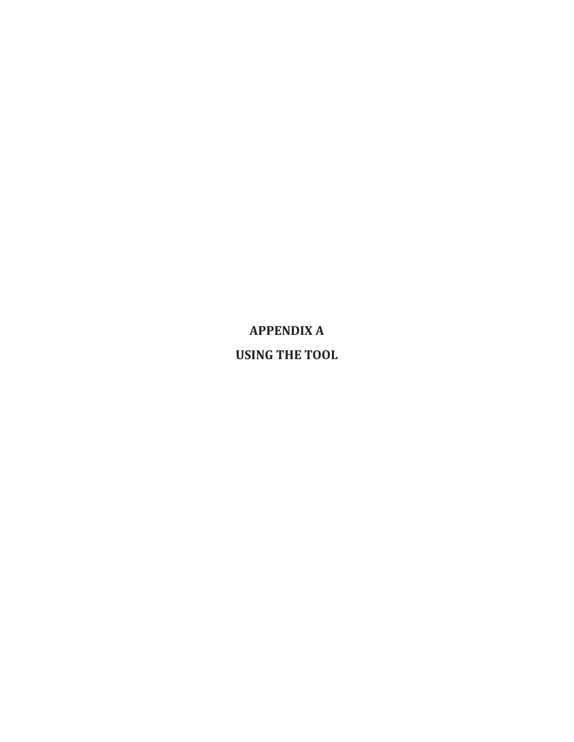**APPENDIX A USING THE TOOL**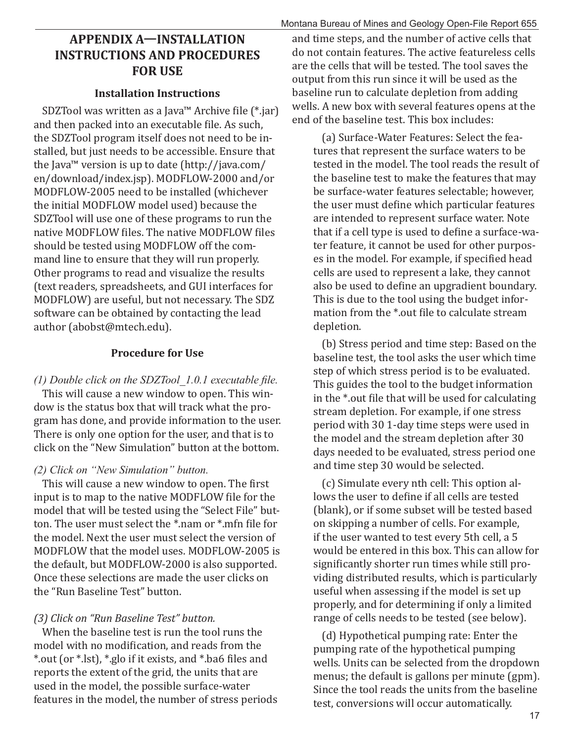## **APPENDIX AȅINSTALLATION INSTRUCTIONS AND PROCEDURES FOR USE**

#### **Installation Instructions**

SDZTool was written as a Java<sup>™</sup> Archive file (\*.jar) and then packed into an executable file. As such, the SDZTool program itself does not need to be installed, but just needs to be accessible. Ensure that the Java™ version is up to date (http://java.com/ en/download/index.jsp). MODFLOW-2000 and/or MODFLOW-2005 need to be installed (whichever the initial MODFLOW model used) because the SDZTool will use one of these programs to run the native MODFLOW files. The native MODFLOW files should be tested using MODFLOW off the command line to ensure that they will run properly. Other programs to read and visualize the results (text readers, spreadsheets, and GUI interfaces for MODFLOW) are useful, but not necessary. The SDZ software can be obtained by contacting the lead author (abobst@mtech.edu).

#### **Procedure for Use**

*(1) Double click on the SDZTool 1.0.1 executable file.* 

This will cause a new window to open. This window is the status box that will track what the program has done, and provide information to the user. There is only one option for the user, and that is to click on the "New Simulation" button at the bottom.

#### *(2) Click on "New Simulation" button.*

This will cause a new window to open. The first input is to map to the native MODFLOW file for the model that will be tested using the "Select File" button. The user must select the  $*$  nam or  $*$  mfn file for the model. Next the user must select the version of MODFLOW that the model uses. MODFLOW-2005 is the default, but MODFLOW-2000 is also supported. Once these selections are made the user clicks on the "Run Baseline Test" button.

#### *(3) Click on "Run Baseline Test" button.*

When the baseline test is run the tool runs the model with no modification, and reads from the \*.out (or \*.lst), \*.glo if it exists, and \*.ba6 ϐiles and reports the extent of the grid, the units that are used in the model, the possible surface-water features in the model, the number of stress periods

and time steps, and the number of active cells that do not contain features. The active featureless cells are the cells that will be tested. The tool saves the output from this run since it will be used as the baseline run to calculate depletion from adding wells. A new box with several features opens at the end of the baseline test. This box includes:

(a) Surface-Water Features: Select the features that represent the surface waters to be tested in the model. The tool reads the result of the baseline test to make the features that may be surface-water features selectable; however, the user must define which particular features are intended to represent surface water. Note that if a cell type is used to define a surface-water feature, it cannot be used for other purposes in the model. For example, if specified head cells are used to represent a lake, they cannot also be used to define an upgradient boundary. This is due to the tool using the budget information from the \*.out file to calculate stream depletion.

(b) Stress period and time step: Based on the baseline test, the tool asks the user which time step of which stress period is to be evaluated. This guides the tool to the budget information in the \*.out file that will be used for calculating stream depletion. For example, if one stress period with 30 1-day time steps were used in the model and the stream depletion after 30 days needed to be evaluated, stress period one and time step 30 would be selected.

(c) Simulate every nth cell: This option allows the user to define if all cells are tested (blank), or if some subset will be tested based on skipping a number of cells. For example, if the user wanted to test every 5th cell, a 5 would be entered in this box. This can allow for significantly shorter run times while still providing distributed results, which is particularly useful when assessing if the model is set up properly, and for determining if only a limited range of cells needs to be tested (see below).

(d) Hypothetical pumping rate: Enter the pumping rate of the hypothetical pumping wells. Units can be selected from the dropdown menus; the default is gallons per minute (gpm). Since the tool reads the units from the baseline test, conversions will occur automatically.